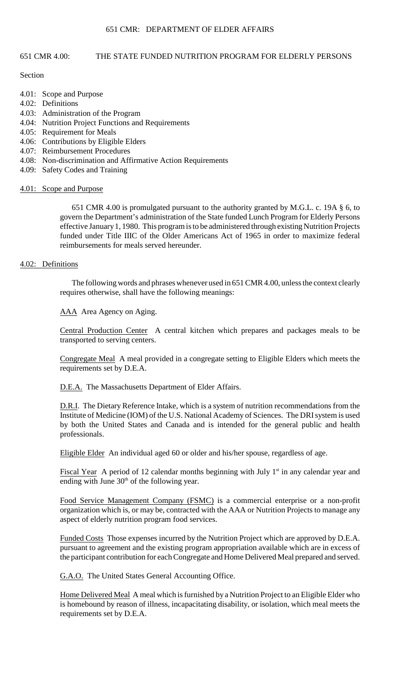#### 651 CMR 4.00: THE STATE FUNDED NUTRITION PROGRAM FOR ELDERLY PERSONS

#### **Section**

- 4.01: Scope and Purpose
- 4.02: Definitions
- 4.03: Administration of the Program
- 4.04: Nutrition Project Functions and Requirements
- 4.05: Requirement for Meals
- 4.06: Contributions by Eligible Elders
- 4.07: Reimbursement Procedures
- 4.08: Non-discrimination and Affirmative Action Requirements
- 4.09: Safety Codes and Training

#### 4.01: Scope and Purpose

 651 CMR 4.00 is promulgated pursuant to the authority granted by M.G.L. c. 19A § 6, to govern the Department's administration of the State funded Lunch Program for Elderly Persons effective January 1, 1980. This program is to be administered through existing Nutrition Projects funded under Title IIIC of the Older Americans Act of 1965 in order to maximize federal reimbursements for meals served hereunder.

# 4.02: Definitions

The following words and phrases whenever used in 651 CMR 4.00, unless the context clearly requires otherwise, shall have the following meanings:

AAA Area Agency on Aging.

Central Production Center A central kitchen which prepares and packages meals to be transported to serving centers.

Congregate Meal A meal provided in a congregate setting to Eligible Elders which meets the requirements set by D.E.A.

D.E.A. The Massachusetts Department of Elder Affairs.

D.R.I. The Dietary Reference Intake, which is a system of nutrition recommendations from the Institute of Medicine (IOM) of the U.S. National Academy of Sciences. The DRI system is used by both the United States and Canada and is intended for the general public and health professionals.

Eligible Elder An individual aged 60 or older and his/her spouse, regardless of age.

Fiscal Year A period of 12 calendar months beginning with July  $1<sup>st</sup>$  in any calendar year and ending with June  $30<sup>th</sup>$  of the following year.

Food Service Management Company (FSMC) is a commercial enterprise or a non-profit organization which is, or may be, contracted with the AAA or Nutrition Projects to manage any aspect of elderly nutrition program food services.

Funded Costs Those expenses incurred by the Nutrition Project which are approved by D.E.A. pursuant to agreement and the existing program appropriation available which are in excess of the participant contribution for each Congregate and Home Delivered Meal prepared and served.

G.A.O. The United States General Accounting Office.

Home Delivered Meal A meal which is furnished by a Nutrition Project to an Eligible Elder who is homebound by reason of illness, incapacitating disability, or isolation, which meal meets the requirements set by D.E.A.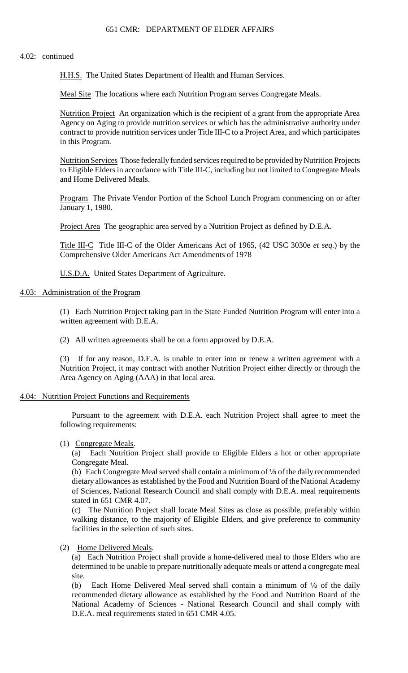#### 4.02: continued

H.H.S. The United States Department of Health and Human Services.

Meal Site The locations where each Nutrition Program serves Congregate Meals.

Nutrition Project An organization which is the recipient of a grant from the appropriate Area Agency on Aging to provide nutrition services or which has the administrative authority under contract to provide nutrition services under Title III-C to a Project Area, and which participates in this Program.

Nutrition Services Those federally funded services required to be provided by Nutrition Projects to Eligible Elders in accordance with Title III-C, including but not limited to Congregate Meals and Home Delivered Meals.

Program The Private Vendor Portion of the School Lunch Program commencing on or after January 1, 1980.

Project Area The geographic area served by a Nutrition Project as defined by D.E.A.

 Title III-C Title III-C of the Older Americans Act of 1965, (42 USC 3030e *et seq.*) by the Comprehensive Older Americans Act Amendments of 1978

U.S.D.A. United States Department of Agriculture.

#### 4.03: Administration of the Program

(1) Each Nutrition Project taking part in the State Funded Nutrition Program will enter into a written agreement with D.E.A.

(2) All written agreements shall be on a form approved by D.E.A.

(3) If for any reason, D.E.A. is unable to enter into or renew a written agreement with a Nutrition Project, it may contract with another Nutrition Project either directly or through the Area Agency on Aging (AAA) in that local area.

#### 4.04: Nutrition Project Functions and Requirements

Pursuant to the agreement with D.E.A. each Nutrition Project shall agree to meet the following requirements:

(1) Congregate Meals.

(a) Each Nutrition Project shall provide to Eligible Elders a hot or other appropriate Congregate Meal.

(b) Each Congregate Meal served shall contain a minimum of  $\frac{1}{3}$  of the daily recommended dietary allowances as established by the Food and Nutrition Board of the National Academy of Sciences, National Research Council and shall comply with D.E.A. meal requirements stated in 651 CMR 4.07.

(c) The Nutrition Project shall locate Meal Sites as close as possible, preferably within walking distance, to the majority of Eligible Elders, and give preference to community facilities in the selection of such sites.

(2) Home Delivered Meals.

 (a) Each Nutrition Project shall provide a home-delivered meal to those Elders who are determined to be unable to prepare nutritionally adequate meals or attend a congregate meal site.

(b) Each Home Delivered Meal served shall contain a minimum of  $\frac{1}{3}$  of the daily recommended dietary allowance as established by the Food and Nutrition Board of the National Academy of Sciences - National Research Council and shall comply with D.E.A. meal requirements stated in 651 CMR 4.05.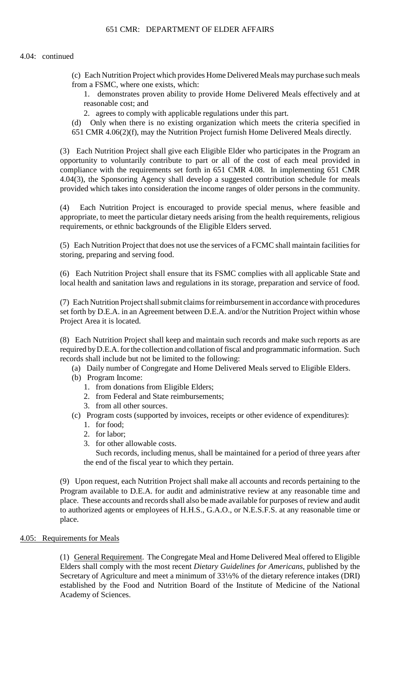- (c) Each Nutrition Project which provides Home Delivered Meals may purchase such meals from a FSMC, where one exists, which:
	- 1. demonstrates proven ability to provide Home Delivered Meals effectively and at reasonable cost; and
	- 2. agrees to comply with applicable regulations under this part.
- (d) Only when there is no existing organization which meets the criteria specified in
- 651 CMR 4.06(2)(f), may the Nutrition Project furnish Home Delivered Meals directly.

 provided which takes into consideration the income ranges of older persons in the community. (3) Each Nutrition Project shall give each Eligible Elder who participates in the Program an opportunity to voluntarily contribute to part or all of the cost of each meal provided in compliance with the requirements set forth in 651 CMR 4.08. In implementing 651 CMR 4.04(3), the Sponsoring Agency shall develop a suggested contribution schedule for meals

(4) Each Nutrition Project is encouraged to provide special menus, where feasible and appropriate, to meet the particular dietary needs arising from the health requirements, religious requirements, or ethnic backgrounds of the Eligible Elders served.

(5) Each Nutrition Project that does not use the services of a FCMC shall maintain facilities for storing, preparing and serving food.

 (6) Each Nutrition Project shall ensure that its FSMC complies with all applicable State and local health and sanitation laws and regulations in its storage, preparation and service of food.

(7) Each Nutrition Project shall submit claims for reimbursement in accordance with procedures set forth by D.E.A. in an Agreement between D.E.A. and/or the Nutrition Project within whose Project Area it is located.

(8) Each Nutrition Project shall keep and maintain such records and make such reports as are required byD.E.A. for the collection and collation of fiscal and programmatic information. Such records shall include but not be limited to the following:

- (a) Daily number of Congregate and Home Delivered Meals served to Eligible Elders.
- (b) Program Income:
	- 1. from donations from Eligible Elders;
	- 2. from Federal and State reimbursements;
	- 3. from all other sources.
- (c) Program costs (supported by invoices, receipts or other evidence of expenditures):
	- 1. for food;
	- 2. for labor;
	- 3. for other allowable costs.

Such records, including menus, shall be maintained for a period of three years after the end of the fiscal year to which they pertain.

 place. These accounts and records shall also be made available for purposes of review and audit (9) Upon request, each Nutrition Project shall make all accounts and records pertaining to the Program available to D.E.A. for audit and administrative review at any reasonable time and to authorized agents or employees of H.H.S., G.A.O., or N.E.S.F.S. at any reasonable time or place.

#### 4.05: Requirements for Meals

(1) General Requirement. The Congregate Meal and Home Delivered Meal offered to Eligible Secretary of Agriculture and meet a minimum of 331/3% of the dietary reference intakes (DRI) Elders shall comply with the most recent *Dietary Guidelines for Americans*, published by the established by the Food and Nutrition Board of the Institute of Medicine of the National Academy of Sciences.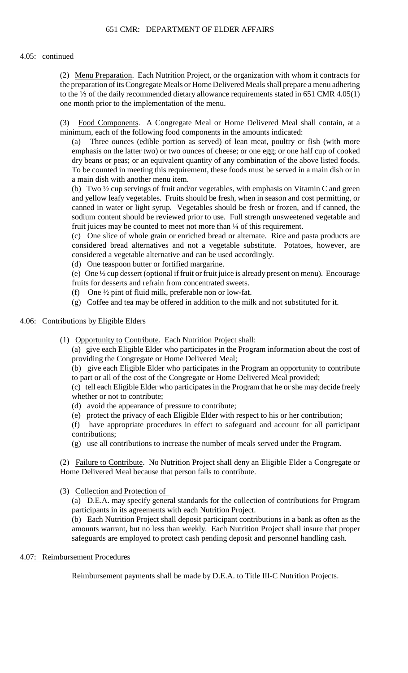#### 4.05: continued

 (2) Menu Preparation. Each Nutrition Project, or the organization with whom it contracts for the preparation of its Congregate Meals or Home Delivered Meals shall prepare a menu adhering to the  $\frac{1}{3}$  of the daily recommended dietary allowance requirements stated in 651 CMR 4.05(1) one month prior to the implementation of the menu.

(3) Food Components. A Congregate Meal or Home Delivered Meal shall contain, at a minimum, each of the following food components in the amounts indicated:

 (a) Three ounces (edible portion as served) of lean meat, poultry or fish (with more emphasis on the latter two) or two ounces of cheese; or one egg; or one half cup of cooked dry beans or peas; or an equivalent quantity of any combination of the above listed foods. To be counted in meeting this requirement, these foods must be served in a main dish or in a main dish with another menu item.

(b) Two ½ cup servings of fruit and/or vegetables, with emphasis on Vitamin C and green and yellow leafy vegetables. Fruits should be fresh, when in season and cost permitting, or canned in water or light syrup. Vegetables should be fresh or frozen, and if canned, the sodium content should be reviewed prior to use. Full strength unsweetened vegetable and fruit juices may be counted to meet not more than  $\frac{1}{4}$  of this requirement.

 (c) One slice of whole grain or enriched bread or alternate. Rice and pasta products are considered bread alternatives and not a vegetable substitute. Potatoes, however, are considered a vegetable alternative and can be used accordingly.

(d) One teaspoon butter or fortified margarine.

 (e) One ½ cup dessert (optional if fruit or fruit juice is already present on menu). Encourage fruits for desserts and refrain from concentrated sweets.

- (f) One ½ pint of fluid milk, preferable non or low-fat.
- (g) Coffee and tea may be offered in addition to the milk and not substituted for it.

## 4.06: Contributions by Eligible Elders

(1) Opportunity to Contribute. Each Nutrition Project shall:

(a) give each Eligible Elder who participates in the Program information about the cost of providing the Congregate or Home Delivered Meal;

 (b) give each Eligible Elder who participates in the Program an opportunity to contribute to part or all of the cost of the Congregate or Home Delivered Meal provided;

 (c) tell each Eligible Elder who participates in the Program that he or she may decide freely whether or not to contribute;

- (d) avoid the appearance of pressure to contribute;
- (e) protect the privacy of each Eligible Elder with respect to his or her contribution;
- (f) have appropriate procedures in effect to safeguard and account for all participant contributions;
- (g) use all contributions to increase the number of meals served under the Program.

(2) Failure to Contribute. No Nutrition Project shall deny an Eligible Elder a Congregate or Home Delivered Meal because that person fails to contribute.

(3) Collection and Protection of

(a) D.E.A. may specify general standards for the collection of contributions for Program participants in its agreements with each Nutrition Project.

(b) Each Nutrition Project shall deposit participant contributions in a bank as often as the amounts warrant, but no less than weekly. Each Nutrition Project shall insure that proper safeguards are employed to protect cash pending deposit and personnel handling cash.

## 4.07: Reimbursement Procedures

Reimbursement payments shall be made by D.E.A. to Title III-C Nutrition Projects.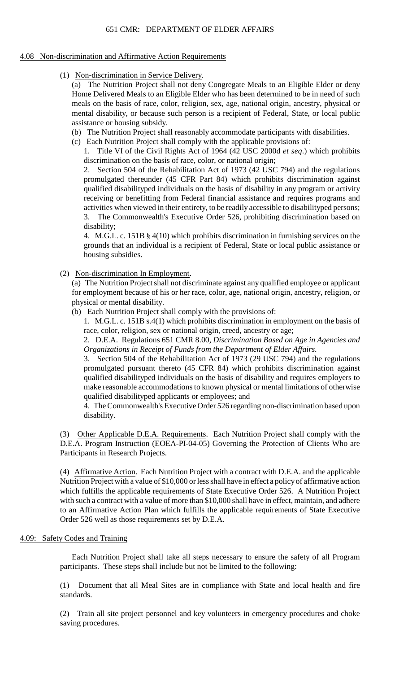#### 4.08 Non-discrimination and Affirmative Action Requirements

(1) Non-discrimination in Service Delivery.

(a) The Nutrition Project shall not deny Congregate Meals to an Eligible Elder or deny Home Delivered Meals to an Eligible Elder who has been determined to be in need of such meals on the basis of race, color, religion, sex, age, national origin, ancestry, physical or mental disability, or because such person is a recipient of Federal, State, or local public assistance or housing subsidy.

- (b) The Nutrition Project shall reasonably accommodate participants with disabilities.
- (c) Each Nutrition Project shall comply with the applicable provisions of:

1. Title VI of the Civil Rights Act of 1964 (42 USC 2000d *et seq*.) which prohibits discrimination on the basis of race, color, or national origin;

 activities when viewed in their entirety, to be readily accessible to disabilityped persons; 2. Section 504 of the Rehabilitation Act of 1973 (42 USC 794) and the regulations promulgated thereunder (45 CFR Part 84) which prohibits discrimination against qualified disabilityped individuals on the basis of disability in any program or activity receiving or benefitting from Federal financial assistance and requires programs and 3. The Commonwealth's Executive Order 526, prohibiting discrimination based on disability;

4. M.G.L. c. 151B § 4(10) which prohibits discrimination in furnishing services on the grounds that an individual is a recipient of Federal, State or local public assistance or housing subsidies.

(2) Non-discrimination In Employment.

(a) The Nutrition Project shall not discriminate against any qualified employee or applicant for employment because of his or her race, color, age, national origin, ancestry, religion, or physical or mental disability.

(b) Each Nutrition Project shall comply with the provisions of:

 1. M.G.L. c. 151B s.4(1) which prohibits discrimination in employment on the basis of race, color, religion, sex or national origin, creed, ancestry or age;

 2. D.E.A. Regulations 651 CMR 8.00, *Discrimination Based on Age in Agencies and Organizations in Receipt of Funds from the Department of Elder Affairs*.

 make reasonable accommodations to known physical or mental limitations of otherwise 3. Section 504 of the Rehabilitation Act of 1973 (29 USC 794) and the regulations promulgated pursuant thereto (45 CFR 84) which prohibits discrimination against qualified disabilityped individuals on the basis of disability and requires employers to qualified disabilityped applicants or employees; and

 4. The Commonwealth's Executive Order 526 regarding non-discrimination based upon disability.

(3) Other Applicable D.E.A. Requirements. Each Nutrition Project shall comply with the D.E.A. Program Instruction (EOEA-PI-04-05) Governing the Protection of Clients Who are Participants in Research Projects.

(4) Affirmative Action. Each Nutrition Project with a contract with D.E.A. and the applicable Nutrition Project with a value of \$10,000 or less shall have in effect a policy of affirmative action which fulfills the applicable requirements of State Executive Order 526. A Nutrition Project with such a contract with a value of more than \$10,000 shall have in effect, maintain, and adhere to an Affirmative Action Plan which fulfills the applicable requirements of State Executive Order 526 well as those requirements set by D.E.A.

## 4.09: Safety Codes and Training

Each Nutrition Project shall take all steps necessary to ensure the safety of all Program participants. These steps shall include but not be limited to the following:

(1) Document that all Meal Sites are in compliance with State and local health and fire standards.

(2) Train all site project personnel and key volunteers in emergency procedures and choke saving procedures.